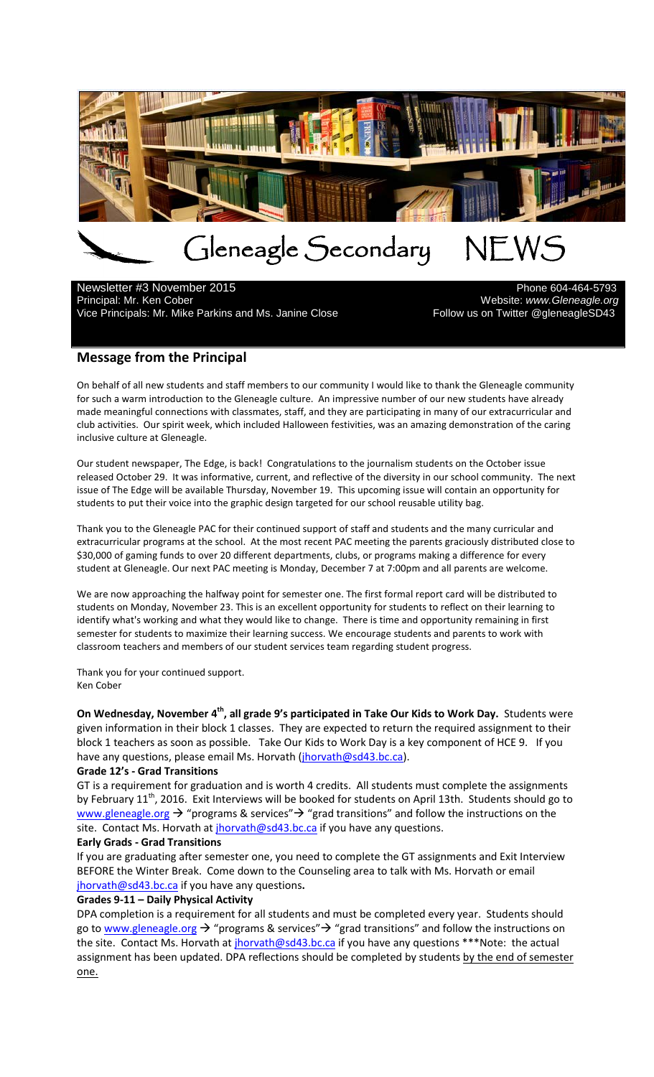

# Gleneagle Secondary NEWS<br>mber 2015

Newsletter #3 November 2015<br>Principal: Mr. Ken Cober Vice Principals: Mr. Mike Parkins and Ms. Janine Close

Website: *www.Gleneagle.org*<br>Pollow us on Twitter @gleneagleSD43

# **Message from the Principal**

On behalf of all new students and staff members to our community I would like to thank the Gleneagle community for such a warm introduction to the Gleneagle culture. An impressive number of our new students have already made meaningful connections with classmates, staff, and they are participating in many of our extracurricular and club activities. Our spirit week, which included Halloween festivities, was an amazing demonstration of the caring inclusive culture at Gleneagle.

Our student newspaper, The Edge, is back! Congratulations to the journalism students on the October issue released October 29. It was informative, current, and reflective of the diversity in our school community. The next issue of The Edge will be available Thursday, November 19. This upcoming issue will contain an opportunity for students to put their voice into the graphic design targeted for our school reusable utility bag.

Thank you to the Gleneagle PAC for their continued support of staff and students and the many curricular and extracurricular programs at the school. At the most recent PAC meeting the parents graciously distributed close to \$30,000 of gaming funds to over 20 different departments, clubs, or programs making a difference for every student at Gleneagle. Our next PAC meeting is Monday, December 7 at 7:00pm and all parents are welcome.

We are now approaching the halfway point for semester one. The first formal report card will be distributed to students on Monday, November 23. This is an excellent opportunity for students to reflect on their learning to identify what's working and what they would like to change. There is time and opportunity remaining in first semester for students to maximize their learning success. We encourage students and parents to work with classroom teachers and members of our student services team regarding student progress.

Thank you for your continued support. Ken Cober

**On Wednesday, November 4th, all grade 9's participated in Take Our Kids to Work Day.** Students were given information in their block 1 classes. They are expected to return the required assignment to their block 1 teachers as soon as possible. Take Our Kids to Work Day is a key component of HCE 9. If you have any questions, please email Ms. Horvath [\(jhorvath@sd43.bc.ca\)](mailto:jhorvath@sd43.bc.ca).

#### **Grade 12's - Grad Transitions**

GT is a requirement for graduation and is worth 4 credits. All students must complete the assignments by February 11<sup>th</sup>, 2016. Exit Interviews will be booked for students on April 13th. Students should go to [www.gleneagle.org](http://www.gleneagle.org/)  $\rightarrow$  "programs & services"  $\rightarrow$  "grad transitions" and follow the instructions on the site. Contact Ms. Horvath at [jhorvath@sd43.bc.ca](mailto:jhorvath@sd43.bc.ca) if you have any questions.

#### **Early Grads - Grad Transitions**

If you are graduating after semester one, you need to complete the GT assignments and Exit Interview BEFORE the Winter Break. Come down to the Counseling area to talk with Ms. Horvath or email [jhorvath@sd43.bc.ca](mailto:jhorvath@sd43.bc.ca) if you have any questions**.**

#### **Grades 9-11 – Daily Physical Activity**

DPA completion is a requirement for all students and must be completed every year. Students should go to [www.gleneagle.org](http://www.gleneagle.org/)  $\rightarrow$  "programs & services"  $\rightarrow$  "grad transitions" and follow the instructions on the site. Contact Ms. Horvath at *jhorvath@sd43.bc.ca* if you have any questions \*\*\*Note: the actual assignment has been updated. DPA reflections should be completed by students by the end of semester one.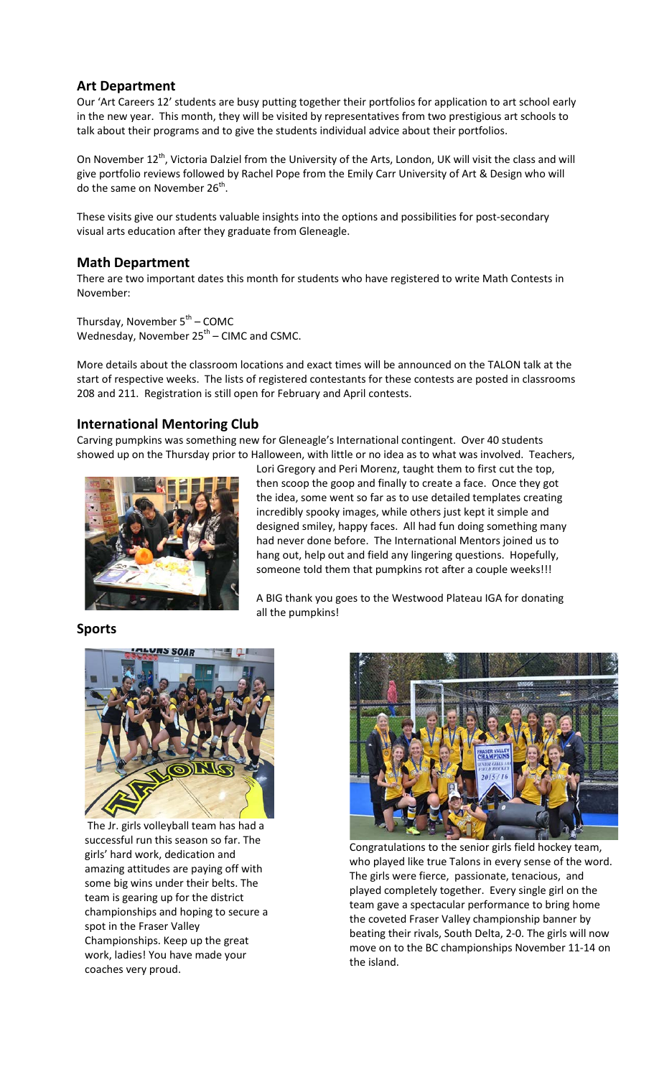## **Art Department**

Our 'Art Careers 12' students are busy putting together their portfolios for application to art school early in the new year. This month, they will be visited by representatives from two prestigious art schools to talk about their programs and to give the students individual advice about their portfolios.

On November 12<sup>th</sup>, Victoria Dalziel from the University of the Arts, London, UK will visit the class and will give portfolio reviews followed by Rachel Pope from the Emily Carr University of Art & Design who will do the same on November  $26<sup>th</sup>$ .

These visits give our students valuable insights into the options and possibilities for post-secondary visual arts education after they graduate from Gleneagle.

#### **Math Department**

There are two important dates this month for students who have registered to write Math Contests in November:

Thursday, November  $5<sup>th</sup>$  – COMC Wednesday, November  $25<sup>th</sup>$  – CIMC and CSMC.

More details about the classroom locations and exact times will be announced on the TALON talk at the start of respective weeks. The lists of registered contestants for these contests are posted in classrooms 208 and 211. Registration is still open for February and April contests.

## **International Mentoring Club**

Carving pumpkins was something new for Gleneagle's International contingent. Over 40 students showed up on the Thursday prior to Halloween, with little or no idea as to what was involved. Teachers,



Lori Gregory and Peri Morenz, taught them to first cut the top, then scoop the goop and finally to create a face. Once they got the idea, some went so far as to use detailed templates creating incredibly spooky images, while others just kept it simple and designed smiley, happy faces. All had fun doing something many had never done before. The International Mentors joined us to hang out, help out and field any lingering questions. Hopefully, someone told them that pumpkins rot after a couple weeks!!!

A BIG thank you goes to the Westwood Plateau IGA for donating all the pumpkins!

# **Sports**



 The Jr. girls volleyball team has had a girls' hard work, dedication and amazing attitudes are paying off with some big wins under their belts. The successful run this season so far. The team is gearing up for the district championships and hoping to secure a spot in the Fraser Valley Championships. Keep up the great work, ladies! You have made your coaches very proud.



Congratulations to the senior girls field hockey team, who played like true Talons in every sense of the word. The girls were fierce, passionate, tenacious, and played completely together. Every single girl on the team gave a spectacular performance to bring home the coveted Fraser Valley championship banner by beating their rivals, South Delta, 2-0. The girls will now move on to the BC championships November 11-14 on the island.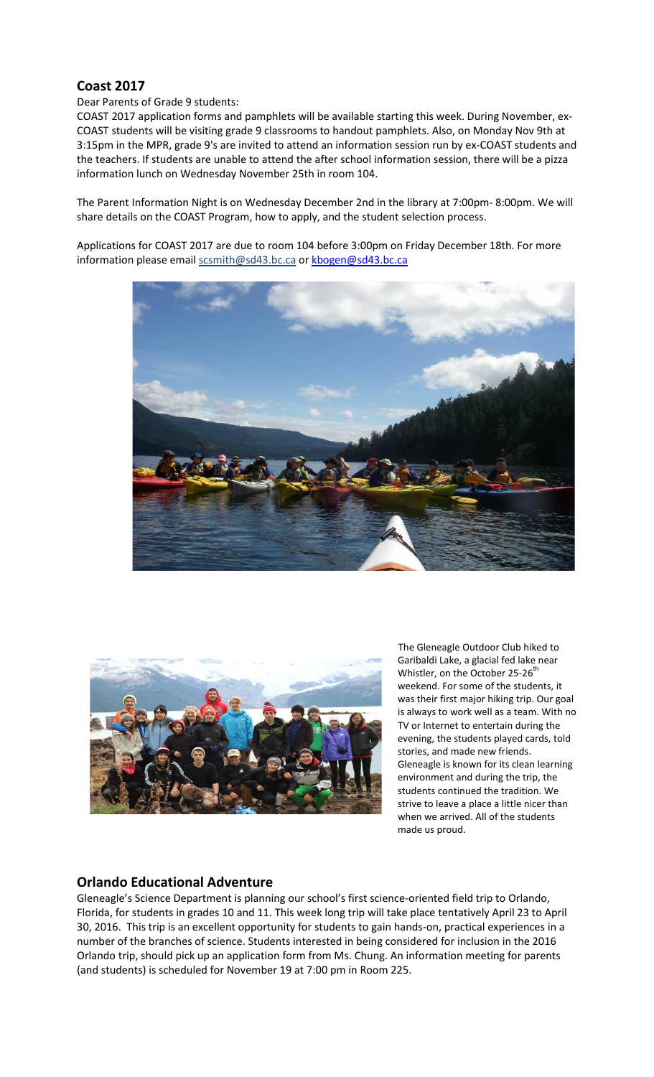# **Coast 2017**

#### Dear Parents of Grade 9 students:

COAST 2017 application forms and pamphlets will be available starting this week. During November, ex-COAST students will be visiting grade 9 classrooms to handout pamphlets. Also, on Monday Nov 9th at 3:15pm in the MPR, grade 9's are invited to attend an information session run by ex-COAST students and the teachers. If students are unable to attend the after school information session, there will be a pizza information lunch on Wednesday November 25th in room 104.

The Parent Information Night is on Wednesday December 2nd in the library at 7:00pm- 8:00pm. We will share details on the COAST Program, how to apply, and the student selection process.

Applications for COAST 2017 are due to room 104 before 3:00pm on Friday December 18th. For more information please email scsmith@sd43.bc.ca o[r kbogen@sd43.bc.ca](mailto:kbogen@sd43.bc.ca%3cmailto:kbogen@sd43.bc.ca)





 The Gleneagle Outdoor Club hiked to Garibaldi Lake, a glacial fed lake near Whistler, on the October 25-26<sup>th</sup> weekend. For some of the students, it was their first major hiking trip. Our goal is always to work well as a team. With no TV or Internet to entertain during the evening, the students played cards, told stories, and made new friends. Gleneagle is known for its clean learning environment and during the trip, the students continued the tradition. We strive to leave a place a little nicer than when we arrived. All of the students made us proud.

## **Orlando Educational Adventure**

Gleneagle's Science Department is planning our school's first science-oriented field trip to Orlando, Florida, for students in grades 10 and 11. This week long trip will take place tentatively April 23 to April 30, 2016. This trip is an excellent opportunity for students to gain hands-on, practical experiences in a number of the branches of science. Students interested in being considered for inclusion in the 2016 Orlando trip, should pick up an application form from Ms. Chung. An information meeting for parents (and students) is scheduled for November 19 at 7:00 pm in Room 225.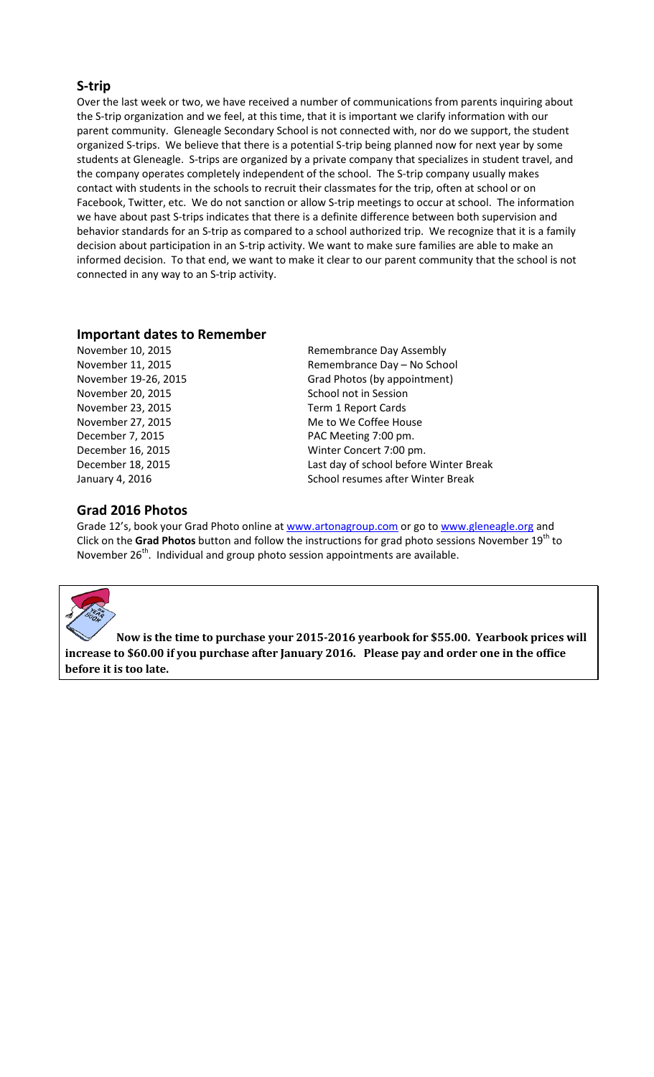### **S-trip**

Over the last week or two, we have received a number of communications from parents inquiring about the S-trip organization and we feel, at this time, that it is important we clarify information with our parent community. Gleneagle Secondary School is not connected with, nor do we support, the student organized S-trips. We believe that there is a potential S-trip being planned now for next year by some students at Gleneagle. S-trips are organized by a private company that specializes in student travel, and the company operates completely independent of the school. The S-trip company usually makes contact with students in the schools to recruit their classmates for the trip, often at school or on Facebook, Twitter, etc. We do not sanction or allow S-trip meetings to occur at school. The information we have about past S-trips indicates that there is a definite difference between both supervision and behavior standards for an S-trip as compared to a school authorized trip. We recognize that it is a family decision about participation in an S-trip activity. We want to make sure families are able to make an informed decision. To that end, we want to make it clear to our parent community that the school is not connected in any way to an S-trip activity.

#### **Important dates to Remember**

November 20, 2015 School not in Session November 23, 2015 Term 1 Report Cards December 7, 2015 **PAC Meeting 7:00 pm.** 

# November 10, 2015 Remembrance Day Assembly November 11, 2015 Remembrance Day – No School November 19-26, 2015 Grad Photos (by appointment) November 27, 2015 Me to We Coffee House December 16, 2015 Winter Concert 7:00 pm. December 18, 2015 Last day of school before Winter Break January 4, 2016 **School resumes after Winter Break** School resumes after Winter Break

### **Grad 2016 Photos**

Grade 12's, book your Grad Photo online at [www.artonagroup.com](http://www.artonagroup.com/) or go to [www.gleneagle.org](http://www.gleneagle.org/) and Click on the Grad Photos button and follow the instructions for grad photo sessions November 19<sup>th</sup> to November 26<sup>th</sup>. Individual and group photo session appointments are available.



**Now is the time to purchase your 2015-2016 yearbook for \$55.00. Yearbook prices will increase to \$60.00 if you purchase after January 2016. Please pay and order one in the office before it is too late.**